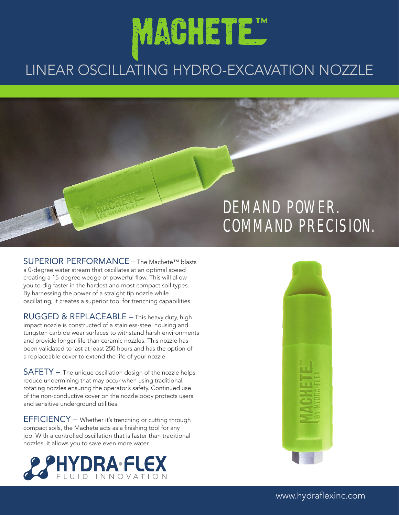# MACHETE "

### LINEAR OSCILLATING HYDRO-EXCAVATION NOZZLE

## DEMAND POWER. COMMAND PRECISION.

SUPERIOR PERFORMANCE – The Machete<sup>™</sup> blasts a 0-degree water stream that oscillates at an optimal speed creating a 15-degree wedge of powerful flow. This will allow you to dig faster in the hardest and most compact soil types. By harnessing the power of a straight tip nozzle while oscillating, it creates a superior tool for trenching capabilities.

RUGGED & REPLACEABLE – This heavy duty, high impact nozzle is constructed of a stainless-steel housing and tungsten carbide wear surfaces to withstand harsh environments and provide longer life than ceramic nozzles. This nozzle has been validated to last at least 250 hours and has the option of a replaceable cover to extend the life of your nozzle.

SAFETY – The unique oscillation design of the nozzle helps reduce undermining that may occur when using traditional rotating nozzles ensuring the operator's safety. Continued use of the non-conductive cover on the nozzle body protects users and sensitive underground utilities.

EFFICIENCY – Whether it's trenching or cutting through compact soils, the Machete acts as a finishing tool for any job. With a controlled oscillation that is faster than traditional nozzles, it allows you to save even more water.